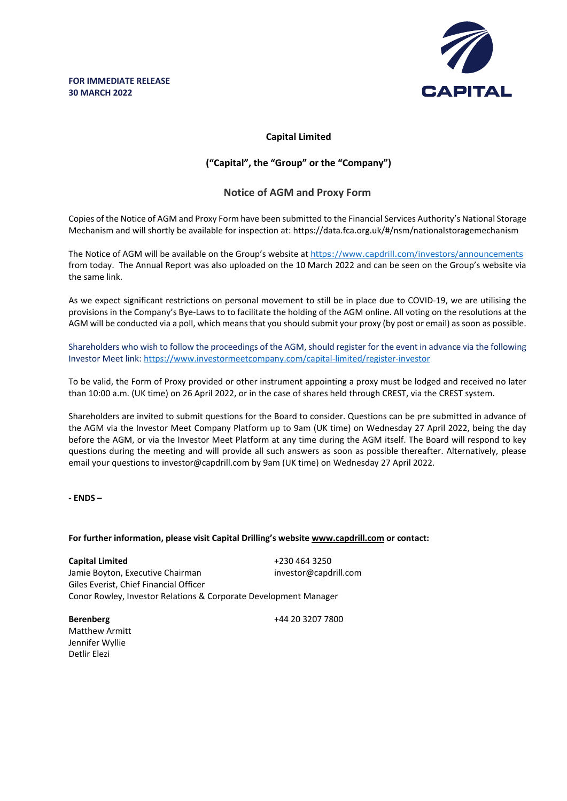

# **Capital Limited**

## **("Capital", the "Group" or the "Company")**

## **Notice of AGM and Proxy Form**

Copies of the Notice of AGM and Proxy Form have been submitted to the Financial Services Authority's National Storage Mechanism and will shortly be available for inspection at:<https://data.fca.org.uk/#/nsm/nationalstoragemechanism>

The Notice of AGM will be available on the Group's website at <https://www.capdrill.com/investors/announcements> from today. The Annual Report was also uploaded on the 10 March 2022 and can be seen on the Group's website via the same link.

As we expect significant restrictions on personal movement to still be in place due to COVID-19, we are utilising the provisions in the Company's Bye-Laws to to facilitate the holding of the AGM online. All voting on the resolutions at the AGM will be conducted via a poll, which means that you should submit your proxy (by post or email) as soon as possible.

Shareholders who wish to follow the proceedings of the AGM, should register for the event in advance via the following Investor Meet link:<https://www.investormeetcompany.com/capital-limited/register-investor>

To be valid, the Form of Proxy provided or other instrument appointing a proxy must be lodged and received no later than 10:00 a.m. (UK time) on 26 April 2022, or in the case of shares held through CREST, via the CREST system.

Shareholders are invited to submit questions for the Board to consider. Questions can be pre submitted in advance of the AGM via the Investor Meet Company Platform up to 9am (UK time) on Wednesday 27 April 2022, being the day before the AGM, or via the Investor Meet Platform at any time during the AGM itself. The Board will respond to key questions during the meeting and will provide all such answers as soon as possible thereafter. Alternatively, please email your questions to investor@capdrill.com by 9am (UK time) on Wednesday 27 April 2022.

**- ENDS –**

### **For further information, please visit Capital Drilling's website www.capdrill.com or contact:**

**Capital Limited** +230 464 3250 Jamie Boyton, Executive Chairman investor@capdrill.com Giles Everist, Chief Financial Officer Conor Rowley, Investor Relations & Corporate Development Manager

Matthew Armitt Jennifer Wyllie Detlir Elezi

**Berenberg** +44 20 3207 7800